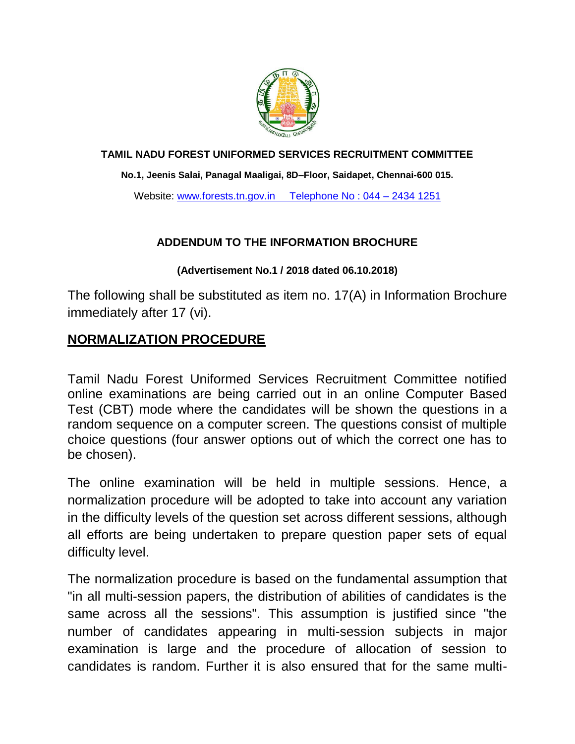

#### **TAMIL NADU FOREST UNIFORMED SERVICES RECRUITMENT COMMITTEE**

**No.1, Jeenis Salai, Panagal Maaligai, 8D–Floor, Saidapet, Chennai-600 015.**

Website: [www.forests.tn.gov.in](http://www.forests.tn.gov.in/) Telephone No: 044 - 2434 1251

### **ADDENDUM TO THE INFORMATION BROCHURE**

#### **(Advertisement No.1 / 2018 dated 06.10.2018)**

The following shall be substituted as item no. 17(A) in Information Brochure immediately after 17 (vi).

## **NORMALIZATION PROCEDURE**

Tamil Nadu Forest Uniformed Services Recruitment Committee notified online examinations are being carried out in an online Computer Based Test (CBT) mode where the candidates will be shown the questions in a random sequence on a computer screen. The questions consist of multiple choice questions (four answer options out of which the correct one has to be chosen).

The online examination will be held in multiple sessions. Hence, a normalization procedure will be adopted to take into account any variation in the difficulty levels of the question set across different sessions, although all efforts are being undertaken to prepare question paper sets of equal difficulty level.

The normalization procedure is based on the fundamental assumption that "in all multi-session papers, the distribution of abilities of candidates is the same across all the sessions". This assumption is justified since "the number of candidates appearing in multi-session subjects in major examination is large and the procedure of allocation of session to candidates is random. Further it is also ensured that for the same multi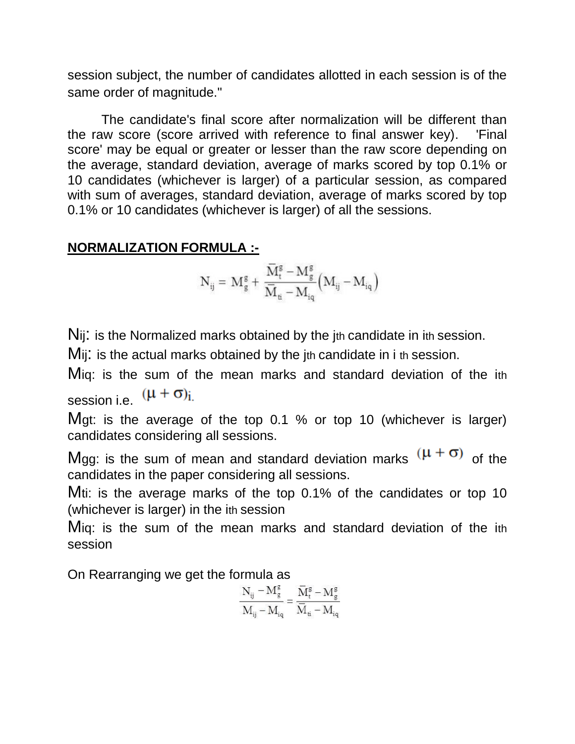session subject, the number of candidates allotted in each session is of the same order of magnitude."

The candidate's final score after normalization will be different than the raw score (score arrived with reference to final answer key). 'Final score' may be equal or greater or lesser than the raw score depending on the average, standard deviation, average of marks scored by top 0.1% or 10 candidates (whichever is larger) of a particular session, as compared with sum of averages, standard deviation, average of marks scored by top 0.1% or 10 candidates (whichever is larger) of all the sessions.

# **NORMALIZATION FORMULA :-**

$$
\boldsymbol{N}_{ij} = \, \boldsymbol{M}_g^g + \, \frac{\boldsymbol{\bar{M}}_t^g - \boldsymbol{M}_g^g}{\boldsymbol{\bar{M}}_{ti} - \boldsymbol{M}_{iq}} \Big( \boldsymbol{M}_{ij} - \boldsymbol{M}_{iq} \Big)
$$

Nij: is the Normalized marks obtained by the jth candidate in ith session.

Mij: is the actual marks obtained by the jth candidate in i th session.

Miq: is the sum of the mean marks and standard deviation of the ith session i.e.  $(\mu + \sigma)_{i.}$ 

Mgt: is the average of the top 0.1 % or top 10 (whichever is larger) candidates considering all sessions.

Mgg: is the sum of mean and standard deviation marks  $(\mu + \sigma)$  of the candidates in the paper considering all sessions.

Mti: is the average marks of the top 0.1% of the candidates or top 10 (whichever is larger) in the ith session

Miq: is the sum of the mean marks and standard deviation of the ith session

On Rearranging we get the formula as

$$
\frac{N_{ij}-M_g^g}{M_{ij}-M_{iq}}=\frac{\overline{M}_t^g-M_g^g}{\overline{M}_{ti}-M_{iq}}
$$